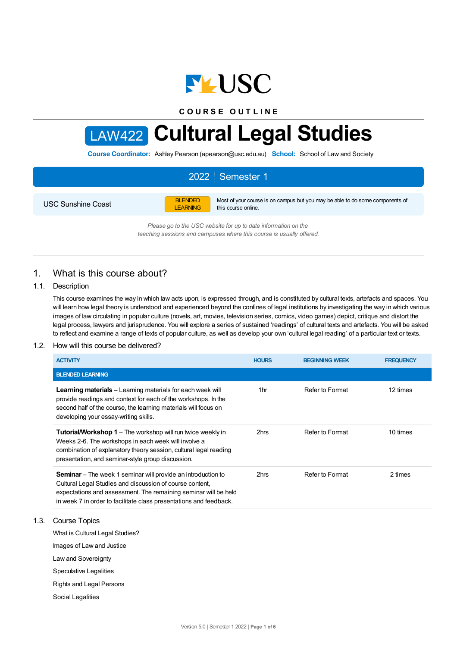

**C O U R S E O U T L I N E**

# LAW422 **Cultural Legal Studies**

**Course Coordinator:** Ashley Pearson (apearson@usc.edu.au) **School:** School of Law and Society

# 2022 Semester 1

USC Sunshine Coast

BLENDED LEARNING Most of your course is on campus but you may be able to do some components of this course online.

*Please go to the USC website for up to date information on the teaching sessions and campuses where this course is usually offered.*

# 1. What is this course about?

## 1.1. Description

This course examines the way in which law acts upon, is expressed through, and is constituted by cultural texts, artefacts and spaces. You will learn how legal theory is understood and experienced beyond the confines of legal institutions by investigating the way in which various images of law circulating in popular culture (novels, art, movies, television series, comics, video games) depict, critique and distort the legal process, lawyers and jurisprudence. You will explore a series of sustained 'readings' of cultural texts and artefacts. You will be asked to reflect and examine a range of texts of popular culture, as well as develop your own 'cultural legal reading' of a particular text or texts.

#### 1.2. How will this course be delivered?

| <b>ACTIVITY</b>                                                                                                                                                                                                                                                          | <b>HOURS</b> | <b>BEGINNING WEEK</b> | <b>FREQUENCY</b> |
|--------------------------------------------------------------------------------------------------------------------------------------------------------------------------------------------------------------------------------------------------------------------------|--------------|-----------------------|------------------|
| <b>BLENDED LEARNING</b>                                                                                                                                                                                                                                                  |              |                       |                  |
| <b>Learning materials</b> – Learning materials for each week will<br>provide readings and context for each of the workshops. In the<br>second half of the course, the learning materials will focus on<br>developing your essay-writing skills.                          | 1hr          | Refer to Format       | 12 times         |
| <b>Tutorial/Workshop 1</b> – The workshop will run twice weekly in<br>Weeks 2-6. The workshops in each week will involve a<br>combination of explanatory theory session, cultural legal reading<br>presentation, and seminar-style group discussion.                     | 2hrs         | Refer to Format       | 10 times         |
| <b>Seminar</b> – The week 1 seminar will provide an introduction to<br>Cultural Legal Studies and discussion of course content,<br>expectations and assessment. The remaining seminar will be held<br>in week 7 in order to facilitate class presentations and feedback. | 2hrs         | Refer to Format       | 2 times          |

## 1.3. Course Topics

What is Cultural Legal Studies?

Images of Law and Justice

Law and Sovereignty

Speculative Legalities

Rights and Legal Persons

Social Legalities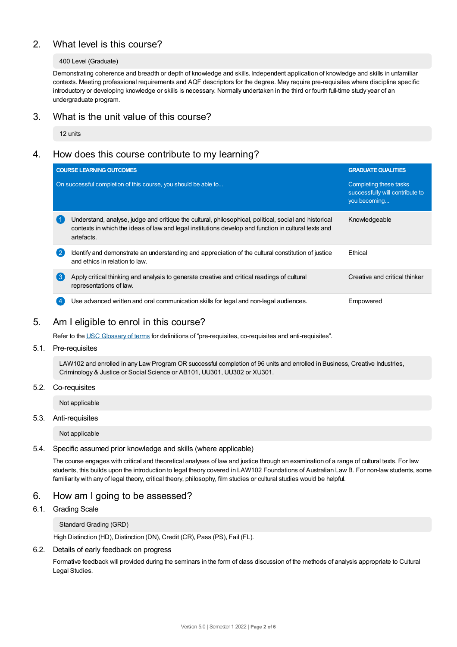# 2. What level is this course?

## 400 Level (Graduate)

Demonstrating coherence and breadth or depth of knowledge and skills. Independent application of knowledge and skills in unfamiliar contexts. Meeting professional requirements and AQF descriptors for the degree. May require pre-requisites where discipline specific introductory or developing knowledge or skills is necessary. Normally undertaken in the third or fourth full-time study year of an undergraduate program.

# 3. What is the unit value of this course?

12 units

# 4. How does this course contribute to my learning?

| <b>COURSE LEARNING OUTCOMES</b>                                                                                                                                                                                             | <b>GRADUATE QUALITIES</b>                                                 |
|-----------------------------------------------------------------------------------------------------------------------------------------------------------------------------------------------------------------------------|---------------------------------------------------------------------------|
| On successful completion of this course, you should be able to                                                                                                                                                              | Completing these tasks<br>successfully will contribute to<br>you becoming |
| Understand, analyse, judge and critique the cultural, philosophical, political, social and historical<br>contexts in which the ideas of law and legal institutions develop and function in cultural texts and<br>artefacts. | Knowledgeable                                                             |
| Identify and demonstrate an understanding and appreciation of the cultural constitution of justice<br>$\mathbf{2}$<br>and ethics in relation to law.                                                                        | Ethical                                                                   |
| (ვ<br>Apply critical thinking and analysis to generate creative and critical readings of cultural<br>representations of law.                                                                                                | Creative and critical thinker                                             |
| Use advanced written and oral communication skills for legal and non-legal audiences.                                                                                                                                       | Empowered                                                                 |

# 5. Am Ieligible to enrol in this course?

Refer to the USC [Glossary](https://www.usc.edu.au/about/policies-and-procedures/glossary-of-terms-for-policy-and-procedures) of terms for definitions of "pre-requisites, co-requisites and anti-requisites".

5.1. Pre-requisites

LAW102 and enrolled in any Law Program OR successful completion of 96 units and enrolled in Business, Creative Industries, Criminology & Justice or Social Science or AB101, UU301, UU302 or XU301.

5.2. Co-requisites

Not applicable

5.3. Anti-requisites

Not applicable

## 5.4. Specific assumed prior knowledge and skills (where applicable)

The course engages with critical and theoretical analyses of law and justice through an examination of a range of cultural texts. For law students, this builds upon the introduction to legal theory covered in LAW102 Foundations of Australian Law B. For non-law students, some familiarity with any of legal theory, critical theory, philosophy, film studies or cultural studies would be helpful.

# 6. How am Igoing to be assessed?

## 6.1. Grading Scale

Standard Grading (GRD)

High Distinction (HD), Distinction (DN), Credit (CR), Pass (PS), Fail (FL).

## 6.2. Details of early feedback on progress

Formative feedback will provided during the seminars in the form of class discussion of the methods of analysis appropriate to Cultural Legal Studies.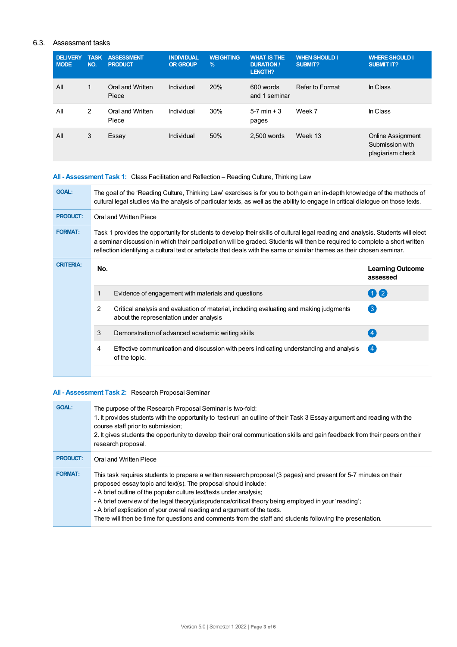## 6.3. Assessment tasks

| <b>DELIVERY</b><br><b>MODE</b> | <b>TASK</b><br>NO. | <b>ASSESSMENT</b><br><b>PRODUCT</b> | <b>INDIVIDUAL</b><br><b>OR GROUP</b> | <b>WEIGHTING</b><br>$\frac{9}{6}$ | <b>WHAT IS THE</b><br><b>DURATION /</b><br>LENGTH? | <b>WHEN SHOULD I</b><br><b>SUBMIT?</b> | <b>WHERE SHOULD I</b><br><b>SUBMIT IT?</b>                      |
|--------------------------------|--------------------|-------------------------------------|--------------------------------------|-----------------------------------|----------------------------------------------------|----------------------------------------|-----------------------------------------------------------------|
| All                            | $\mathbf{1}$       | Oral and Written<br>Piece           | Individual                           | 20%                               | 600 words<br>and 1 seminar                         | Refer to Format                        | In Class                                                        |
| All                            | 2                  | Oral and Written<br>Piece           | Individual                           | 30%                               | $5-7$ min + 3<br>pages                             | Week 7                                 | In Class                                                        |
| All                            | 3                  | Essay                               | Individual                           | 50%                               | 2.500 words                                        | Week 13                                | <b>Online Assignment</b><br>Submission with<br>plagiarism check |

# **All - Assessment Task 1:** Class Facilitation and Reflection – Reading Culture, Thinking Law

| <b>GOAL:</b>     | The goal of the 'Reading Culture, Thinking Law' exercises is for you to both gain an in-depth knowledge of the methods of<br>cultural legal studies via the analysis of particular texts, as well as the ability to engage in critical dialogue on those texts.                                                                                                                             |                                                                                                                                    |                                     |  |
|------------------|---------------------------------------------------------------------------------------------------------------------------------------------------------------------------------------------------------------------------------------------------------------------------------------------------------------------------------------------------------------------------------------------|------------------------------------------------------------------------------------------------------------------------------------|-------------------------------------|--|
| <b>PRODUCT:</b>  | Oral and Written Piece                                                                                                                                                                                                                                                                                                                                                                      |                                                                                                                                    |                                     |  |
| <b>FORMAT:</b>   | Task 1 provides the opportunity for students to develop their skills of cultural legal reading and analysis. Students will elect<br>a seminar discussion in which their participation will be graded. Students will then be required to complete a short written<br>reflection identifying a cultural text or artefacts that deals with the same or similar themes as their chosen seminar. |                                                                                                                                    |                                     |  |
| <b>CRITERIA:</b> | No.                                                                                                                                                                                                                                                                                                                                                                                         |                                                                                                                                    | <b>Learning Outcome</b><br>assessed |  |
|                  |                                                                                                                                                                                                                                                                                                                                                                                             | Evidence of engagement with materials and questions                                                                                | 0 2                                 |  |
|                  | 2                                                                                                                                                                                                                                                                                                                                                                                           | Critical analysis and evaluation of material, including evaluating and making judgments<br>about the representation under analysis | $\left(3\right)$                    |  |
|                  | 3                                                                                                                                                                                                                                                                                                                                                                                           | Demonstration of advanced academic writing skills                                                                                  | $\overline{4}$                      |  |
|                  | 4                                                                                                                                                                                                                                                                                                                                                                                           | Effective communication and discussion with peers indicating understanding and analysis<br>of the topic.                           | $\left( 4 \right)$                  |  |
|                  |                                                                                                                                                                                                                                                                                                                                                                                             |                                                                                                                                    |                                     |  |

# **All - Assessment Task 2:** Research Proposal Seminar

| <b>GOAL:</b>    | The purpose of the Research Proposal Seminar is two-fold:<br>1. It provides students with the opportunity to 'test-run' an outline of their Task 3 Essay argument and reading with the<br>course staff prior to submission;<br>2. It gives students the opportunity to develop their oral communication skills and gain feedback from their peers on their<br>research proposal.                                                                                                                                                                               |
|-----------------|----------------------------------------------------------------------------------------------------------------------------------------------------------------------------------------------------------------------------------------------------------------------------------------------------------------------------------------------------------------------------------------------------------------------------------------------------------------------------------------------------------------------------------------------------------------|
| <b>PRODUCT:</b> | Oral and Written Piece                                                                                                                                                                                                                                                                                                                                                                                                                                                                                                                                         |
| <b>FORMAT:</b>  | This task requires students to prepare a written research proposal (3 pages) and present for 5-7 minutes on their<br>proposed essay topic and text(s). The proposal should include:<br>- A brief outline of the popular culture text/texts under analysis;<br>- A brief overview of the legal theory/jurisprudence/critical theory being employed in your 'reading';<br>- A brief explication of your overall reading and argument of the texts.<br>There will then be time for questions and comments from the staff and students following the presentation. |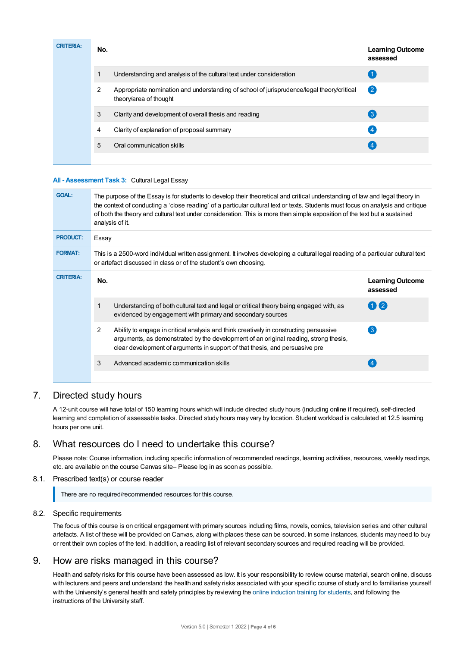| <b>CRITERIA:</b> | No. |                                                                                                                     | <b>Learning Outcome</b><br>assessed |
|------------------|-----|---------------------------------------------------------------------------------------------------------------------|-------------------------------------|
|                  | 1   | Understanding and analysis of the cultural text under consideration                                                 |                                     |
|                  | 2   | Appropriate nomination and understanding of school of jurisprudence/legal theory/critical<br>theory/area of thought | $\left( 2\right)$                   |
|                  | 3   | Clarity and development of overall thesis and reading                                                               | $\left(3\right)$                    |
|                  | 4   | Clarity of explanation of proposal summary                                                                          | $\overline{4}$                      |
|                  | 5   | Oral communication skills                                                                                           |                                     |
|                  |     |                                                                                                                     |                                     |

## **All - Assessment Task 3:** Cultural Legal Essay

| <b>GOAL:</b>     | The purpose of the Essay is for students to develop their theoretical and critical understanding of law and legal theory in<br>the context of conducting a 'close reading' of a particular cultural text or texts. Students must focus on analysis and critique<br>of both the theory and cultural text under consideration. This is more than simple exposition of the text but a sustained<br>analysis of it. |                                     |  |  |  |
|------------------|-----------------------------------------------------------------------------------------------------------------------------------------------------------------------------------------------------------------------------------------------------------------------------------------------------------------------------------------------------------------------------------------------------------------|-------------------------------------|--|--|--|
| <b>PRODUCT:</b>  | Essay                                                                                                                                                                                                                                                                                                                                                                                                           |                                     |  |  |  |
| <b>FORMAT:</b>   | This is a 2500-word individual written assignment. It involves developing a cultural legal reading of a particular cultural text<br>or artefact discussed in class or of the student's own choosing.                                                                                                                                                                                                            |                                     |  |  |  |
| <b>CRITERIA:</b> | No.                                                                                                                                                                                                                                                                                                                                                                                                             | <b>Learning Outcome</b><br>assessed |  |  |  |
|                  | 1<br>Understanding of both cultural text and legal or critical theory being engaged with, as<br>evidenced by engagement with primary and secondary sources                                                                                                                                                                                                                                                      | $(1)$ (2)                           |  |  |  |
|                  | $\mathcal{P}$<br>Ability to engage in critical analysis and think creatively in constructing persuasive<br>arguments, as demonstrated by the development of an original reading, strong thesis,<br>clear development of arguments in support of that thesis, and persuasive pre                                                                                                                                 | $\left(3\right)$                    |  |  |  |
|                  | 3<br>Advanced academic communication skills                                                                                                                                                                                                                                                                                                                                                                     |                                     |  |  |  |
|                  |                                                                                                                                                                                                                                                                                                                                                                                                                 |                                     |  |  |  |

# 7. Directed study hours

A 12-unit course will have total of 150 learning hours which will include directed study hours (including online if required), self-directed learning and completion of assessable tasks. Directed study hours may vary by location. Student workload is calculated at 12.5 learning hours per one unit.

# 8. What resources do I need to undertake this course?

Please note: Course information, including specific information of recommended readings, learning activities, resources, weekly readings, etc. are available on the course Canvas site– Please log in as soon as possible.

## 8.1. Prescribed text(s) or course reader

There are no required/recommended resources for this course.

## 8.2. Specific requirements

The focus of this course is on critical engagement with primary sources including films, novels, comics, television series and other cultural artefacts. A list of these will be provided on Canvas, along with places these can be sourced. In some instances, students may need to buy or rent their own copies of the text. In addition, a reading list of relevant secondary sources and required reading will be provided.

# 9. How are risks managed in this course?

Health and safety risks for this course have been assessed as low. It is your responsibility to review course material, search online, discuss with lecturers and peers and understand the health and safety risks associated with your specific course of study and to familiarise yourself with the University's general health and safety principles by reviewing the online [induction](https://online.usc.edu.au/webapps/blackboard/content/listContentEditable.jsp?content_id=_632657_1&course_id=_14432_1) training for students, and following the instructions of the University staff.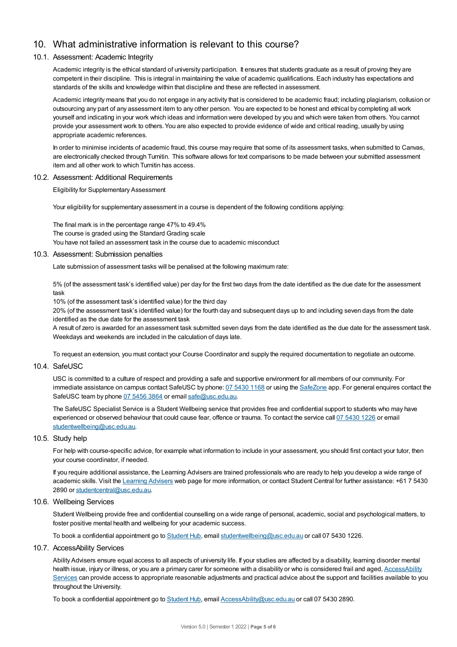# 10. What administrative information is relevant to this course?

## 10.1. Assessment: Academic Integrity

Academic integrity is the ethical standard of university participation. It ensures that students graduate as a result of proving they are competent in their discipline. This is integral in maintaining the value of academic qualifications. Each industry has expectations and standards of the skills and knowledge within that discipline and these are reflected in assessment.

Academic integrity means that you do not engage in any activity that is considered to be academic fraud; including plagiarism, collusion or outsourcing any part of any assessment item to any other person. You are expected to be honest and ethical by completing all work yourself and indicating in your work which ideas and information were developed by you and which were taken from others. You cannot provide your assessment work to others.You are also expected to provide evidence of wide and critical reading, usually by using appropriate academic references.

In order to minimise incidents of academic fraud, this course may require that some of its assessment tasks, when submitted to Canvas, are electronically checked through Turnitin. This software allows for text comparisons to be made between your submitted assessment item and all other work to which Turnitin has access.

#### 10.2. Assessment: Additional Requirements

Eligibility for Supplementary Assessment

Your eligibility for supplementary assessment in a course is dependent of the following conditions applying:

The final mark is in the percentage range 47% to 49.4% The course is graded using the Standard Grading scale You have not failed an assessment task in the course due to academic misconduct

#### 10.3. Assessment: Submission penalties

Late submission of assessment tasks will be penalised at the following maximum rate:

5% (of the assessment task's identified value) per day for the first two days from the date identified as the due date for the assessment task

10% (of the assessment task's identified value) for the third day

20% (of the assessment task's identified value) for the fourth day and subsequent days up to and including seven days from the date identified as the due date for the assessment task

A result of zero is awarded for an assessment task submitted seven days from the date identified as the due date for the assessment task. Weekdays and weekends are included in the calculation of days late.

To request an extension, you must contact your Course Coordinator and supply the required documentation to negotiate an outcome.

#### 10.4. SafeUSC

USC is committed to a culture of respect and providing a safe and supportive environment for all members of our community. For immediate assistance on campus contact SafeUSC by phone: 07 [5430](tel:07%205430%201168) 1168 or using the [SafeZone](https://www.safezoneapp.com) app. For general enquires contact the SafeUSC team by phone 07 [5456](tel:07%205456%203864) 3864 or email [safe@usc.edu.au](mailto:safe@usc.edu.au).

The SafeUSC Specialist Service is a Student Wellbeing service that provides free and confidential support to students who may have experienced or observed behaviour that could cause fear, offence or trauma. To contact the service call 07 [5430](tel:07%205430%201226) 1226 or email [studentwellbeing@usc.edu.au](mailto:studentwellbeing@usc.edu.au).

#### 10.5. Study help

For help with course-specific advice, for example what information to include in your assessment, you should first contact your tutor, then your course coordinator, if needed.

If you require additional assistance, the Learning Advisers are trained professionals who are ready to help you develop a wide range of academic skills. Visit the Learning [Advisers](https://www.usc.edu.au/current-students/student-support/academic-and-study-support/learning-advisers) web page for more information, or contact Student Central for further assistance: +61 7 5430 2890 or [studentcentral@usc.edu.au](mailto:studentcentral@usc.edu.au).

## 10.6. Wellbeing Services

Student Wellbeing provide free and confidential counselling on a wide range of personal, academic, social and psychological matters, to foster positive mental health and wellbeing for your academic success.

To book a confidential appointment go to [Student](https://studenthub.usc.edu.au/) Hub, email [studentwellbeing@usc.edu.au](mailto:studentwellbeing@usc.edu.au) or call 07 5430 1226.

#### 10.7. AccessAbility Services

Ability Advisers ensure equal access to all aspects of university life. If your studies are affected by a disability, learning disorder mental health issue, injury or illness, or you are a primary carer for someone with a disability or who is considered frail and aged, [AccessAbility](https://www.usc.edu.au/learn/student-support/accessability-services/documentation-requirements) Services can provide access to appropriate reasonable adjustments and practical advice about the support and facilities available to you throughout the University.

To book a confidential appointment go to [Student](https://studenthub.usc.edu.au/) Hub, email [AccessAbility@usc.edu.au](mailto:AccessAbility@usc.edu.au) or call 07 5430 2890.